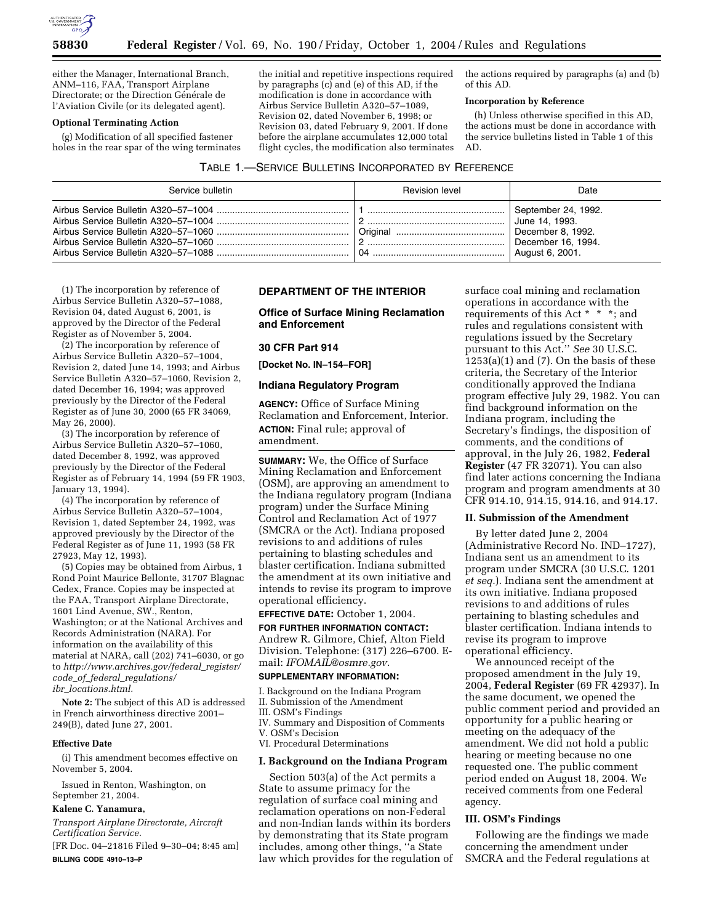

either the Manager, International Branch, ANM–116, FAA, Transport Airplane Directorate; or the Direction Générale de l'Aviation Civile (or its delegated agent).

### **Optional Terminating Action**

(g) Modification of all specified fastener holes in the rear spar of the wing terminates the initial and repetitive inspections required by paragraphs (c) and (e) of this AD, if the modification is done in accordance with Airbus Service Bulletin A320–57–1089, Revision 02, dated November 6, 1998; or Revision 03, dated February 9, 2001. If done before the airplane accumulates 12,000 total flight cycles, the modification also terminates

the actions required by paragraphs (a) and (b) of this AD.

### **Incorporation by Reference**

(h) Unless otherwise specified in this AD, the actions must be done in accordance with the service bulletins listed in Table 1 of this AD.

| Service bulletin | <b>Revision level</b> | Date                                                                                                |
|------------------|-----------------------|-----------------------------------------------------------------------------------------------------|
|                  | 04                    | September 24, 1992.<br>June 14, 1993.<br>December 8, 1992.<br>December 16, 1994.<br>August 6, 2001. |

(1) The incorporation by reference of Airbus Service Bulletin A320–57–1088, Revision 04, dated August 6, 2001, is approved by the Director of the Federal Register as of November 5, 2004.

(2) The incorporation by reference of Airbus Service Bulletin A320–57–1004, Revision 2, dated June 14, 1993; and Airbus Service Bulletin A320–57–1060, Revision 2, dated December 16, 1994; was approved previously by the Director of the Federal Register as of June 30, 2000 (65 FR 34069, May 26, 2000).

(3) The incorporation by reference of Airbus Service Bulletin A320–57–1060, dated December 8, 1992, was approved previously by the Director of the Federal Register as of February 14, 1994 (59 FR 1903, January 13, 1994).

(4) The incorporation by reference of Airbus Service Bulletin A320–57–1004, Revision 1, dated September 24, 1992, was approved previously by the Director of the Federal Register as of June 11, 1993 (58 FR 27923, May 12, 1993).

(5) Copies may be obtained from Airbus, 1 Rond Point Maurice Bellonte, 31707 Blagnac Cedex, France. Copies may be inspected at the FAA, Transport Airplane Directorate, 1601 Lind Avenue, SW., Renton, Washington; or at the National Archives and Records Administration (NARA). For information on the availability of this material at NARA, call (202) 741–6030, or go to *http://www.archives.gov/federal*\_*register/ code*\_*of*\_*federal*\_*regulations/ ibr*\_*locations.html.*

**Note 2:** The subject of this AD is addressed in French airworthiness directive 2001– 249(B), dated June 27, 2001.

### **Effective Date**

(i) This amendment becomes effective on November 5, 2004.

Issued in Renton, Washington, on September 21, 2004.

## **Kalene C. Yanamura,**

*Transport Airplane Directorate, Aircraft Certification Service.*

[FR Doc. 04–21816 Filed 9–30–04; 8:45 am] **BILLING CODE 4910–13–P**

# **DEPARTMENT OF THE INTERIOR**

**Office of Surface Mining Reclamation and Enforcement** 

#### **30 CFR Part 914**

**[Docket No. IN–154–FOR]** 

### **Indiana Regulatory Program**

**AGENCY:** Office of Surface Mining Reclamation and Enforcement, Interior. **ACTION:** Final rule; approval of amendment.

**SUMMARY:** We, the Office of Surface Mining Reclamation and Enforcement (OSM), are approving an amendment to the Indiana regulatory program (Indiana program) under the Surface Mining Control and Reclamation Act of 1977 (SMCRA or the Act). Indiana proposed revisions to and additions of rules pertaining to blasting schedules and blaster certification. Indiana submitted the amendment at its own initiative and intends to revise its program to improve operational efficiency.

# **EFFECTIVE DATE:** October 1, 2004.

**FOR FURTHER INFORMATION CONTACT:** Andrew R. Gilmore, Chief, Alton Field Division. Telephone: (317) 226–6700. Email: *IFOMAIL@osmre.gov*.

# **SUPPLEMENTARY INFORMATION:**

I. Background on the Indiana Program II. Submission of the Amendment III. OSM's Findings IV. Summary and Disposition of Comments V. OSM's Decision VI. Procedural Determinations

# **I. Background on the Indiana Program**

Section 503(a) of the Act permits a State to assume primacy for the regulation of surface coal mining and reclamation operations on non-Federal and non-Indian lands within its borders by demonstrating that its State program includes, among other things, ''a State law which provides for the regulation of surface coal mining and reclamation operations in accordance with the requirements of this Act \* \* \*; and rules and regulations consistent with regulations issued by the Secretary pursuant to this Act.'' *See* 30 U.S.C.  $1253(a)(1)$  and  $(7)$ . On the basis of these criteria, the Secretary of the Interior conditionally approved the Indiana program effective July 29, 1982. You can find background information on the Indiana program, including the Secretary's findings, the disposition of comments, and the conditions of approval, in the July 26, 1982, **Federal Register** (47 FR 32071). You can also find later actions concerning the Indiana program and program amendments at 30 CFR 914.10, 914.15, 914.16, and 914.17.

## **II. Submission of the Amendment**

By letter dated June 2, 2004 (Administrative Record No. IND–1727), Indiana sent us an amendment to its program under SMCRA (30 U.S.C. 1201 *et seq.*). Indiana sent the amendment at its own initiative. Indiana proposed revisions to and additions of rules pertaining to blasting schedules and blaster certification. Indiana intends to revise its program to improve operational efficiency.

We announced receipt of the proposed amendment in the July 19, 2004, **Federal Register** (69 FR 42937). In the same document, we opened the public comment period and provided an opportunity for a public hearing or meeting on the adequacy of the amendment. We did not hold a public hearing or meeting because no one requested one. The public comment period ended on August 18, 2004. We received comments from one Federal agency.

# **III. OSM's Findings**

Following are the findings we made concerning the amendment under SMCRA and the Federal regulations at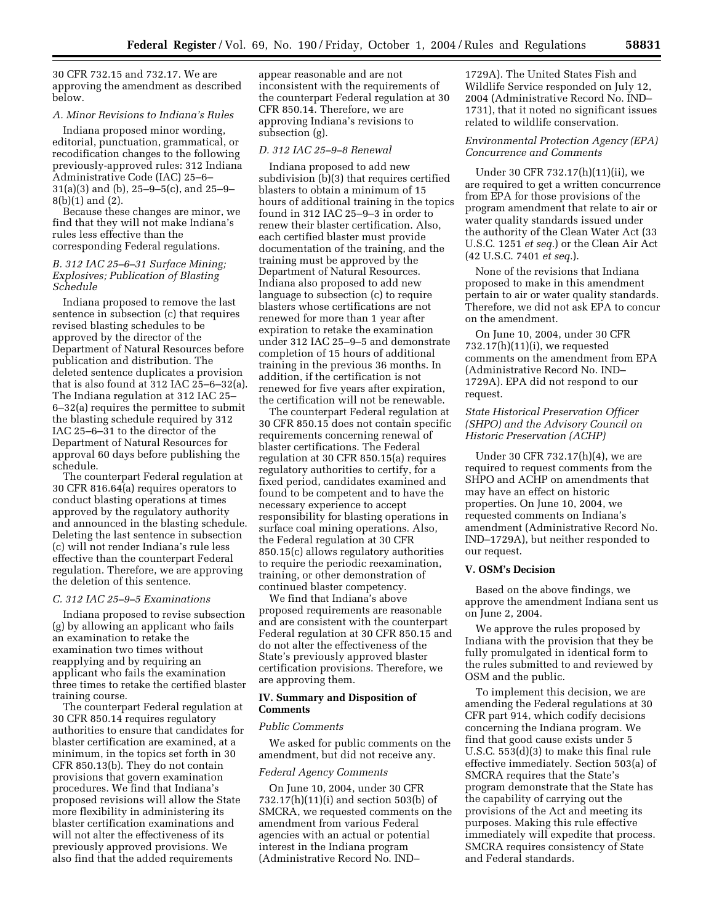30 CFR 732.15 and 732.17. We are approving the amendment as described below.

### *A. Minor Revisions to Indiana's Rules*

Indiana proposed minor wording, editorial, punctuation, grammatical, or recodification changes to the following previously-approved rules: 312 Indiana Administrative Code (IAC) 25–6– 31(a)(3) and (b), 25–9–5(c), and 25–9– 8(b)(1) and (2).

Because these changes are minor, we find that they will not make Indiana's rules less effective than the corresponding Federal regulations.

## *B. 312 IAC 25–6–31 Surface Mining; Explosives; Publication of Blasting Schedule*

Indiana proposed to remove the last sentence in subsection (c) that requires revised blasting schedules to be approved by the director of the Department of Natural Resources before publication and distribution. The deleted sentence duplicates a provision that is also found at 312 IAC 25–6–32(a). The Indiana regulation at 312 IAC 25– 6–32(a) requires the permittee to submit the blasting schedule required by 312 IAC 25–6–31 to the director of the Department of Natural Resources for approval 60 days before publishing the schedule.

The counterpart Federal regulation at 30 CFR 816.64(a) requires operators to conduct blasting operations at times approved by the regulatory authority and announced in the blasting schedule. Deleting the last sentence in subsection (c) will not render Indiana's rule less effective than the counterpart Federal regulation. Therefore, we are approving the deletion of this sentence.

### *C. 312 IAC 25–9–5 Examinations*

Indiana proposed to revise subsection (g) by allowing an applicant who fails an examination to retake the examination two times without reapplying and by requiring an applicant who fails the examination three times to retake the certified blaster training course.

The counterpart Federal regulation at 30 CFR 850.14 requires regulatory authorities to ensure that candidates for blaster certification are examined, at a minimum, in the topics set forth in 30 CFR 850.13(b). They do not contain provisions that govern examination procedures. We find that Indiana's proposed revisions will allow the State more flexibility in administering its blaster certification examinations and will not alter the effectiveness of its previously approved provisions. We also find that the added requirements

appear reasonable and are not inconsistent with the requirements of the counterpart Federal regulation at 30 CFR 850.14. Therefore, we are approving Indiana's revisions to subsection (g).

### *D. 312 IAC 25–9–8 Renewal*

Indiana proposed to add new subdivision (b)(3) that requires certified blasters to obtain a minimum of 15 hours of additional training in the topics found in 312 IAC 25–9–3 in order to renew their blaster certification. Also, each certified blaster must provide documentation of the training, and the training must be approved by the Department of Natural Resources. Indiana also proposed to add new language to subsection (c) to require blasters whose certifications are not renewed for more than 1 year after expiration to retake the examination under 312 IAC 25–9–5 and demonstrate completion of 15 hours of additional training in the previous 36 months. In addition, if the certification is not renewed for five years after expiration, the certification will not be renewable.

The counterpart Federal regulation at 30 CFR 850.15 does not contain specific requirements concerning renewal of blaster certifications. The Federal regulation at 30 CFR 850.15(a) requires regulatory authorities to certify, for a fixed period, candidates examined and found to be competent and to have the necessary experience to accept responsibility for blasting operations in surface coal mining operations. Also, the Federal regulation at 30 CFR 850.15(c) allows regulatory authorities to require the periodic reexamination, training, or other demonstration of continued blaster competency.

We find that Indiana's above proposed requirements are reasonable and are consistent with the counterpart Federal regulation at 30 CFR 850.15 and do not alter the effectiveness of the State's previously approved blaster certification provisions. Therefore, we are approving them.

## **IV. Summary and Disposition of Comments**

#### *Public Comments*

We asked for public comments on the amendment, but did not receive any.

#### *Federal Agency Comments*

On June 10, 2004, under 30 CFR 732.17(h)(11)(i) and section 503(b) of SMCRA, we requested comments on the amendment from various Federal agencies with an actual or potential interest in the Indiana program (Administrative Record No. IND–

1729A). The United States Fish and Wildlife Service responded on July 12, 2004 (Administrative Record No. IND– 1731), that it noted no significant issues related to wildlife conservation.

# *Environmental Protection Agency (EPA) Concurrence and Comments*

Under 30 CFR 732.17(h)(11)(ii), we are required to get a written concurrence from EPA for those provisions of the program amendment that relate to air or water quality standards issued under the authority of the Clean Water Act (33 U.S.C. 1251 *et seq.*) or the Clean Air Act (42 U.S.C. 7401 *et seq.*).

None of the revisions that Indiana proposed to make in this amendment pertain to air or water quality standards. Therefore, we did not ask EPA to concur on the amendment.

On June 10, 2004, under 30 CFR  $732.17(h)(11)(i)$ , we requested comments on the amendment from EPA (Administrative Record No. IND– 1729A). EPA did not respond to our request.

# *State Historical Preservation Officer (SHPO) and the Advisory Council on Historic Preservation (ACHP)*

Under 30 CFR 732.17(h)(4), we are required to request comments from the SHPO and ACHP on amendments that may have an effect on historic properties. On June 10, 2004, we requested comments on Indiana's amendment (Administrative Record No. IND–1729A), but neither responded to our request.

### **V. OSM's Decision**

Based on the above findings, we approve the amendment Indiana sent us on June 2, 2004.

We approve the rules proposed by Indiana with the provision that they be fully promulgated in identical form to the rules submitted to and reviewed by OSM and the public.

To implement this decision, we are amending the Federal regulations at 30 CFR part 914, which codify decisions concerning the Indiana program. We find that good cause exists under 5 U.S.C. 553(d)(3) to make this final rule effective immediately. Section 503(a) of SMCRA requires that the State's program demonstrate that the State has the capability of carrying out the provisions of the Act and meeting its purposes. Making this rule effective immediately will expedite that process. SMCRA requires consistency of State and Federal standards.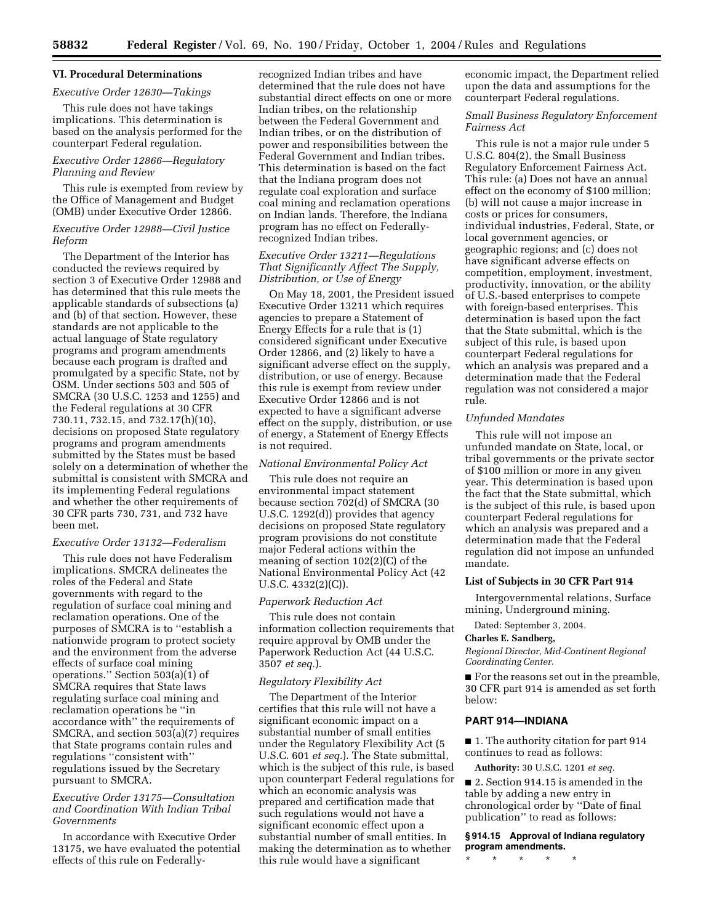# **VI. Procedural Determinations**

### *Executive Order 12630—Takings*

This rule does not have takings implications. This determination is based on the analysis performed for the counterpart Federal regulation.

## *Executive Order 12866—Regulatory Planning and Review*

This rule is exempted from review by the Office of Management and Budget (OMB) under Executive Order 12866.

# *Executive Order 12988—Civil Justice Reform*

The Department of the Interior has conducted the reviews required by section 3 of Executive Order 12988 and has determined that this rule meets the applicable standards of subsections (a) and (b) of that section. However, these standards are not applicable to the actual language of State regulatory programs and program amendments because each program is drafted and promulgated by a specific State, not by OSM. Under sections 503 and 505 of SMCRA (30 U.S.C. 1253 and 1255) and the Federal regulations at 30 CFR 730.11, 732.15, and 732.17(h)(10), decisions on proposed State regulatory programs and program amendments submitted by the States must be based solely on a determination of whether the submittal is consistent with SMCRA and its implementing Federal regulations and whether the other requirements of 30 CFR parts 730, 731, and 732 have been met.

# *Executive Order 13132—Federalism*

This rule does not have Federalism implications. SMCRA delineates the roles of the Federal and State governments with regard to the regulation of surface coal mining and reclamation operations. One of the purposes of SMCRA is to ''establish a nationwide program to protect society and the environment from the adverse effects of surface coal mining operations." Section  $503(a)(1)$  of SMCRA requires that State laws regulating surface coal mining and reclamation operations be ''in accordance with'' the requirements of SMCRA, and section 503(a)(7) requires that State programs contain rules and regulations ''consistent with'' regulations issued by the Secretary pursuant to SMCRA.

# *Executive Order 13175—Consultation and Coordination With Indian Tribal Governments*

In accordance with Executive Order 13175, we have evaluated the potential effects of this rule on Federallyrecognized Indian tribes and have determined that the rule does not have substantial direct effects on one or more Indian tribes, on the relationship between the Federal Government and Indian tribes, or on the distribution of power and responsibilities between the Federal Government and Indian tribes. This determination is based on the fact that the Indiana program does not regulate coal exploration and surface coal mining and reclamation operations on Indian lands. Therefore, the Indiana program has no effect on Federallyrecognized Indian tribes.

# *Executive Order 13211—Regulations That Significantly Affect The Supply, Distribution, or Use of Energy*

On May 18, 2001, the President issued Executive Order 13211 which requires agencies to prepare a Statement of Energy Effects for a rule that is (1) considered significant under Executive Order 12866, and (2) likely to have a significant adverse effect on the supply, distribution, or use of energy. Because this rule is exempt from review under Executive Order 12866 and is not expected to have a significant adverse effect on the supply, distribution, or use of energy, a Statement of Energy Effects is not required.

#### *National Environmental Policy Act*

This rule does not require an environmental impact statement because section 702(d) of SMCRA (30 U.S.C. 1292(d)) provides that agency decisions on proposed State regulatory program provisions do not constitute major Federal actions within the meaning of section 102(2)(C) of the National Environmental Policy Act (42 U.S.C. 4332(2)(C)).

### *Paperwork Reduction Act*

This rule does not contain information collection requirements that require approval by OMB under the Paperwork Reduction Act (44 U.S.C. 3507 *et seq.*).

### *Regulatory Flexibility Act*

The Department of the Interior certifies that this rule will not have a significant economic impact on a substantial number of small entities under the Regulatory Flexibility Act (5 U.S.C. 601 *et seq.*). The State submittal, which is the subject of this rule, is based upon counterpart Federal regulations for which an economic analysis was prepared and certification made that such regulations would not have a significant economic effect upon a substantial number of small entities. In making the determination as to whether this rule would have a significant

economic impact, the Department relied upon the data and assumptions for the counterpart Federal regulations.

## *Small Business Regulatory Enforcement Fairness Act*

This rule is not a major rule under 5 U.S.C. 804(2), the Small Business Regulatory Enforcement Fairness Act. This rule: (a) Does not have an annual effect on the economy of \$100 million; (b) will not cause a major increase in costs or prices for consumers, individual industries, Federal, State, or local government agencies, or geographic regions; and (c) does not have significant adverse effects on competition, employment, investment, productivity, innovation, or the ability of U.S.-based enterprises to compete with foreign-based enterprises. This determination is based upon the fact that the State submittal, which is the subject of this rule, is based upon counterpart Federal regulations for which an analysis was prepared and a determination made that the Federal regulation was not considered a major rule.

## *Unfunded Mandates*

This rule will not impose an unfunded mandate on State, local, or tribal governments or the private sector of \$100 million or more in any given year. This determination is based upon the fact that the State submittal, which is the subject of this rule, is based upon counterpart Federal regulations for which an analysis was prepared and a determination made that the Federal regulation did not impose an unfunded mandate.

#### **List of Subjects in 30 CFR Part 914**

Intergovernmental relations, Surface mining, Underground mining.

Dated: September 3, 2004.

### **Charles E. Sandberg,**

*Regional Director, Mid-Continent Regional Coordinating Center.*

■ For the reasons set out in the preamble, 30 CFR part 914 is amended as set forth below:

# **PART 914—INDIANA**

■ 1. The authority citation for part 914 continues to read as follows:

**Authority:** 30 U.S.C. 1201 *et seq.*

■ 2. Section 914.15 is amended in the table by adding a new entry in chronological order by ''Date of final publication'' to read as follows:

**§ 914.15 Approval of Indiana regulatory program amendments.**

\* \* \* \* \*